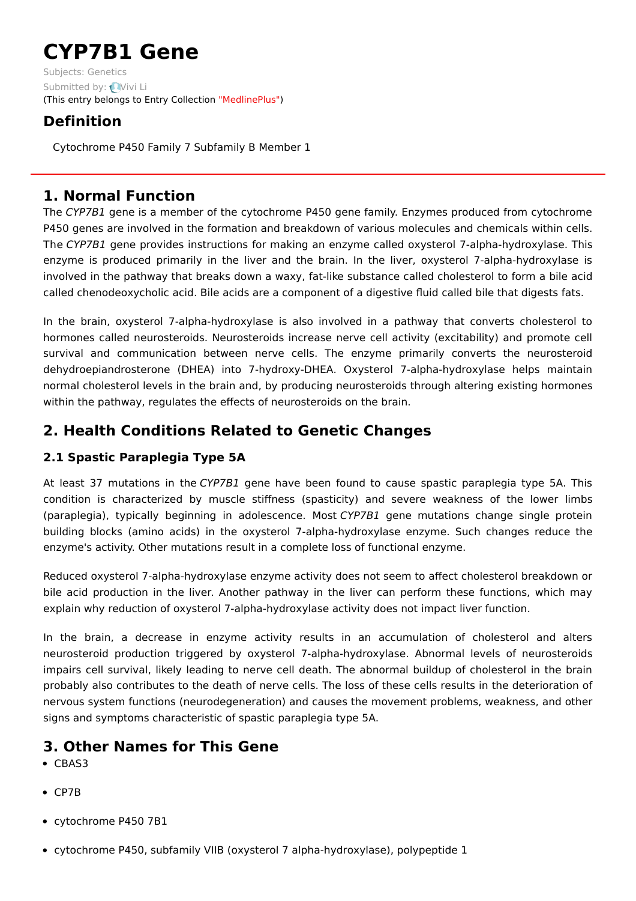# **CYP7B1 Gene**

Subjects: [Genetics](https://encyclopedia.pub/item/subject/56) Submitted by: [Vivi](https://sciprofiles.com/profile/1156458) Li (This entry belongs to Entry Collection ["MedlinePlus"](https://encyclopedia.pub/entry/collection/24))

# **Definition**

Cytochrome P450 Family 7 Subfamily B Member 1

## **1. Normal Function**

The CYP7B1 gene is a member of the cytochrome P450 gene family. Enzymes produced from cytochrome P450 genes are involved in the formation and breakdown of various molecules and chemicals within cells. The CYP7B1 gene provides instructions for making an enzyme called oxysterol 7-alpha-hydroxylase. This enzyme is produced primarily in the liver and the brain. In the liver, oxysterol 7-alpha-hydroxylase is involved in the pathway that breaks down a waxy, fat-like substance called cholesterol to form a bile acid called chenodeoxycholic acid. Bile acids are a component of a digestive fluid called bile that digests fats.

In the brain, oxysterol 7-alpha-hydroxylase is also involved in a pathway that converts cholesterol to hormones called neurosteroids. Neurosteroids increase nerve cell activity (excitability) and promote cell survival and communication between nerve cells. The enzyme primarily converts the neurosteroid dehydroepiandrosterone (DHEA) into 7-hydroxy-DHEA. Oxysterol 7-alpha-hydroxylase helps maintain normal cholesterol levels in the brain and, by producing neurosteroids through altering existing hormones within the pathway, regulates the effects of neurosteroids on the brain.

# **2. Health Conditions Related to Genetic Changes**

## **2.1 Spastic Paraplegia Type 5A**

At least 37 mutations in the CYP7B1 gene have been found to cause spastic paraplegia type 5A. This condition is characterized by muscle stiffness (spasticity) and severe weakness of the lower limbs (paraplegia), typically beginning in adolescence. Most CYP7B1 gene mutations change single protein building blocks (amino acids) in the oxysterol 7-alpha-hydroxylase enzyme. Such changes reduce the enzyme's activity. Other mutations result in a complete loss of functional enzyme.

Reduced oxysterol 7-alpha-hydroxylase enzyme activity does not seem to affect cholesterol breakdown or bile acid production in the liver. Another pathway in the liver can perform these functions, which may explain why reduction of oxysterol 7-alpha-hydroxylase activity does not impact liver function.

In the brain, a decrease in enzyme activity results in an accumulation of cholesterol and alters neurosteroid production triggered by oxysterol 7-alpha-hydroxylase. Abnormal levels of neurosteroids impairs cell survival, likely leading to nerve cell death. The abnormal buildup of cholesterol in the brain probably also contributes to the death of nerve cells. The loss of these cells results in the deterioration of nervous system functions (neurodegeneration) and causes the movement problems, weakness, and other signs and symptoms characteristic of spastic paraplegia type 5A.

# **3. Other Names for This Gene**

- CBAS3
- CP7B
- cytochrome P450 7B1
- cytochrome P450, subfamily VIIB (oxysterol 7 alpha-hydroxylase), polypeptide 1